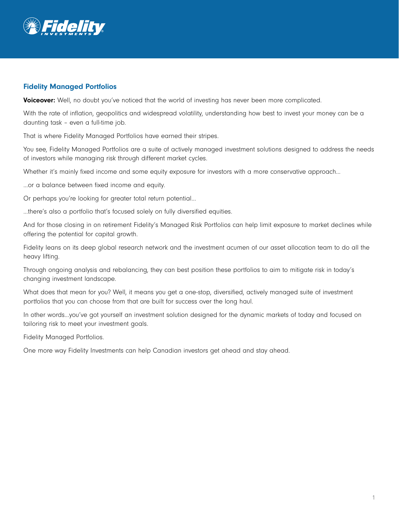

## Fidelity Managed Portfolios

Voiceover: Well, no doubt you've noticed that the world of investing has never been more complicated.

With the rate of inflation, geopolitics and widespread volatility, understanding how best to invest your money can be a daunting task – even a full-time job.

That is where Fidelity Managed Portfolios have earned their stripes.

You see, Fidelity Managed Portfolios are a suite of actively managed investment solutions designed to address the needs of investors while managing risk through different market cycles.

Whether it's mainly fixed income and some equity exposure for investors with a more conservative approach...

…or a balance between fixed income and equity.

Or perhaps you're looking for greater total return potential…

…there's also a portfolio that's focused solely on fully diversified equities.

And for those closing in on retirement Fidelity's Managed Risk Portfolios can help limit exposure to market declines while offering the potential for capital growth.

Fidelity leans on its deep global research network and the investment acumen of our asset allocation team to do all the heavy lifting.

Through ongoing analysis and rebalancing, they can best position these portfolios to aim to mitigate risk in today's changing investment landscape.

What does that mean for you? Well, it means you get a one-stop, diversified, actively managed suite of investment portfolios that you can choose from that are built for success over the long haul.

In other words…you've got yourself an investment solution designed for the dynamic markets of today and focused on tailoring risk to meet your investment goals.

Fidelity Managed Portfolios.

One more way Fidelity Investments can help Canadian investors get ahead and stay ahead.